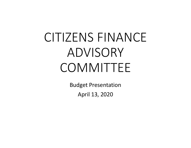# CITIZENS FINANCE ADVISORY **COMMITTEE**

Budget Presentation

April 13, 2020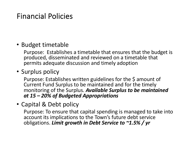### Financial Policies

### • Budget timetable

Purpose: Establishes a timetable that ensures that the budget is produced, disseminated and reviewed on a timetable that permits adequate discussion and timely adoption

### • Surplus policy

Purpose: Establishes written guidelines for the \$ amount of Current Fund Surplus to be maintained and for the timely monitoring of the Surplus. *Available Surplus to be maintained at 15 – 20% of Budgeted Appropriations*

• Capital & Debt policy

Purpose: To ensure that capital spending is managed to take into account its implications to the Town's future debt service obligations. *Limit growth in Debt Service to ~1.5% / yr*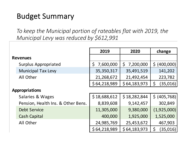## Budget Summary

*To keep the Municipal portion of rateables flat with 2019, the Municipal Levy was reduced by \$612,991*

|                       |                                    | 2019                      | 2020         | change                  |
|-----------------------|------------------------------------|---------------------------|--------------|-------------------------|
| <b>Revenues</b>       |                                    |                           |              |                         |
|                       | <b>Surplus Appropriated</b>        | $\mathsf{S}$<br>7,600,000 | \$7,200,000  | \$ (400,000)            |
|                       | <b>Municipal Tax Levy</b>          | 35,350,317                | 35,491,519   | 141,202                 |
|                       | All Other                          | 21,268,672                | 21,492,454   | 223,782                 |
|                       |                                    | \$64,218,989              | \$64,183,973 | (35,016)<br>$\varsigma$ |
| <b>Appropriations</b> |                                    |                           |              |                         |
|                       | Salaries & Wages                   | \$18,688,612              | \$18,282,844 | \$ (405,768)            |
|                       | Pension, Health Ins. & Other Bens. | 8,839,608                 | 9,142,457    | 302,849                 |
|                       | <b>Debt Service</b>                | 11,305,000                | 9,380,000    | (1,925,000)             |
|                       | <b>Cash Capital</b>                | 400,000                   | 1,925,000    | 1,525,000               |
|                       | All Other                          | 24,985,769                | 25,453,672   | 467,903                 |
|                       |                                    | \$64,218,989              | \$64,183,973 | $\zeta$<br>(35,016)     |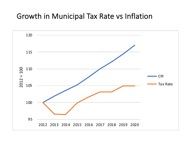### Growth in Municipal Tax Rate vs Inflation

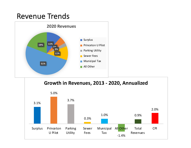### Revenue Trends



#### **Growth in Revenues, 2013 - 2020, Annualized**

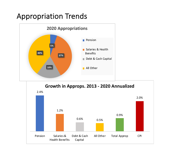### Appropriation Trends



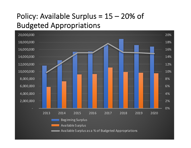# Policy: Available Surplus = 15 – 20% of Budgeted Appropriations

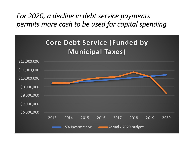*For 2020, a decline in debt service payments permits more cash to be used for capital spending*

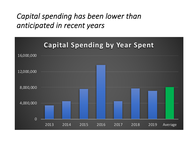## *Capital spending has been lower than anticipated in recent years*

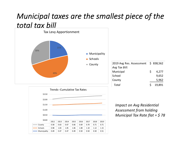### *Municipal taxes are the smallest piece of the total tax bill*





| 2019 Avg Res. Assessment \$838,562 |    |        |
|------------------------------------|----|--------|
| Avg Tax Bill:                      |    |        |
| Municipal                          | S. | 4,277  |
| School                             |    | 9,652  |
| County                             |    | 5,962  |
| Total                              | Ś  | 19,891 |

*Impact on Avg Residential Assessment from holding Municipal Tax Rate flat = \$ 78*